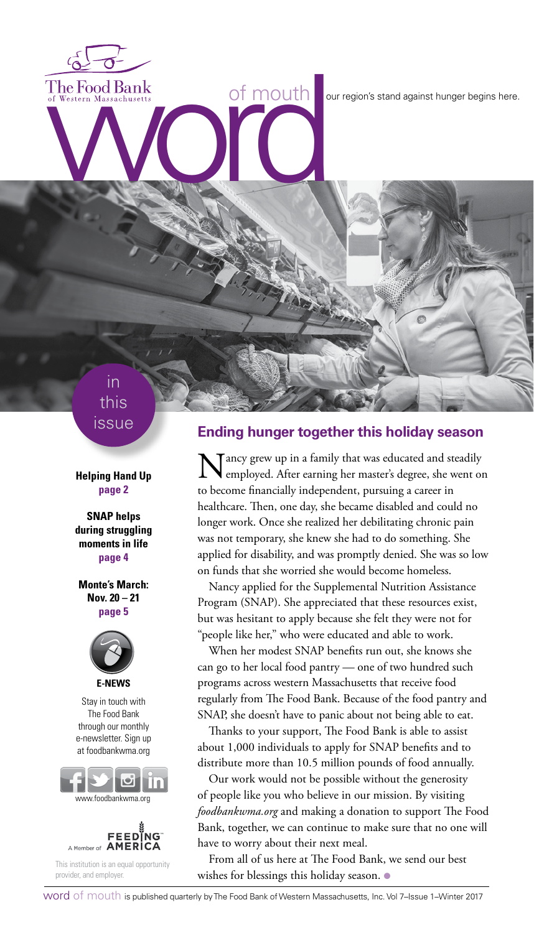The Food Bank<br>of Western Massachusetts<br>word word against hunger begins here.

# in this issue

**Helping Hand Up page 2**

**SNAP helps during struggling moments in life page 4**

**Monte's March: Nov. 20 – 21 page 5**



Stay in touch with The Food Bank through our monthly e-newsletter. Sign up at foodbankwma.org





This institution is an equal opportunity provider, and employer.

#### **Ending hunger together this holiday season**

Nancy grew up in a family that was educated and steadily employed. After earning her master's degree, she went on to become financially independent, pursuing a career in healthcare. Then, one day, she became disabled and could no longer work. Once she realized her debilitating chronic pain was not temporary, she knew she had to do something. She applied for disability, and was promptly denied. She was so low on funds that she worried she would become homeless.

Nancy applied for the Supplemental Nutrition Assistance Program (SNAP). She appreciated that these resources exist, but was hesitant to apply because she felt they were not for "people like her," who were educated and able to work.

When her modest SNAP benefits run out, she knows she can go to her local food pantry — one of two hundred such programs across western Massachusetts that receive food regularly from The Food Bank. Because of the food pantry and SNAP, she doesn't have to panic about not being able to eat.

Thanks to your support, The Food Bank is able to assist about 1,000 individuals to apply for SNAP benefits and to distribute more than 10.5 million pounds of food annually.

Our work would not be possible without the generosity of people like you who believe in our mission. By visiting *foodbankwma.org* and making a donation to support The Food Bank, together, we can continue to make sure that no one will have to worry about their next meal.

From all of us here at The Food Bank, we send our best wishes for blessings this holiday season. ●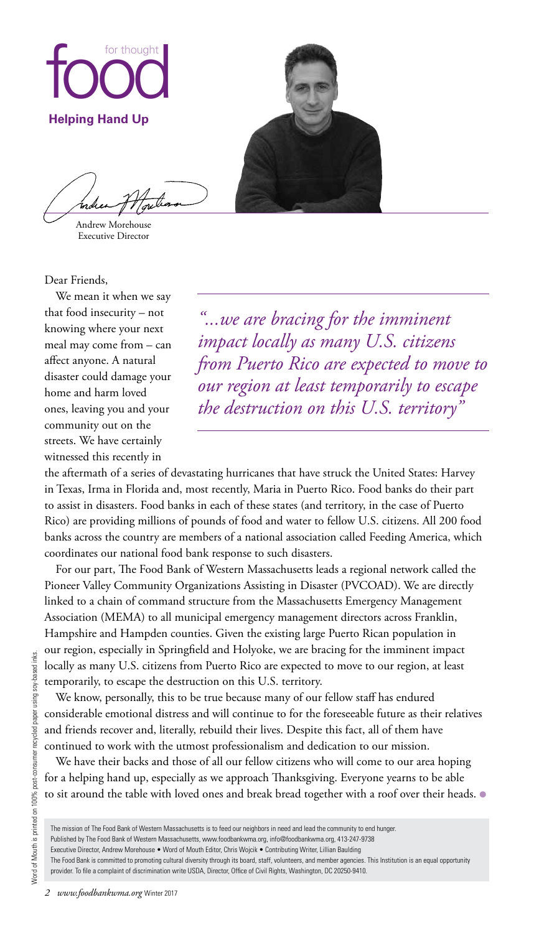

Andrew Morehouse Executive Director

Dear Friends,

We mean it when we say that food insecurity – not knowing where your next meal may come from – can affect anyone. A natural disaster could damage your home and harm loved ones, leaving you and your community out on the streets. We have certainly witnessed this recently in

*"...we are bracing for the imminent impact locally as many U.S. citizens from Puerto Rico are expected to move to our region at least temporarily to escape the destruction on this U.S. territory"*

the aftermath of a series of devastating hurricanes that have struck the United States: Harvey in Texas, Irma in Florida and, most recently, Maria in Puerto Rico. Food banks do their part to assist in disasters. Food banks in each of these states (and territory, in the case of Puerto Rico) are providing millions of pounds of food and water to fellow U.S. citizens. All 200 food banks across the country are members of a national association called Feeding America, which coordinates our national food bank response to such disasters.

For our part, The Food Bank of Western Massachusetts leads a regional network called the Pioneer Valley Community Organizations Assisting in Disaster (PVCOAD). We are directly linked to a chain of command structure from the Massachusetts Emergency Management Association (MEMA) to all municipal emergency management directors across Franklin, Hampshire and Hampden counties. Given the existing large Puerto Rican population in our region, especially in Springfield and Holyoke, we are bracing for the imminent impact locally as many U.S. citizens from Puerto Rico are expected to move to our region, at least temporarily, to escape the destruction on this U.S. territory.

We know, personally, this to be true because many of our fellow staff has endured considerable emotional distress and will continue to for the foreseeable future as their relatives and friends recover and, literally, rebuild their lives. Despite this fact, all of them have continued to work with the utmost professionalism and dedication to our mission.

We have their backs and those of all our fellow citizens who will come to our area hoping for a helping hand up, especially as we approach Thanksgiving. Everyone yearns to be able to sit around the table with loved ones and break bread together with a roof over their heads.  $\bullet$ 

The mission of The Food Bank of Western Massachusetts is to feed our neighbors in need and lead the community to end hunger.

Published by The Food Bank of Western Massachusetts, www.foodbankwma.org, info@foodbankwma.org, 413-247-9738

Executive Director, Andrew Morehouse • Word of Mouth Editor, Chris Wojcik • Contributing Writer, Lillian Baulding

The Food Bank is committed to promoting cultural diversity through its board, staff, volunteers, and member agencies. This Institution is an equal opportunity provider. To file a complaint of discrimination write USDA, Director, Office of Civil Rights, Washington, DC 20250-9410.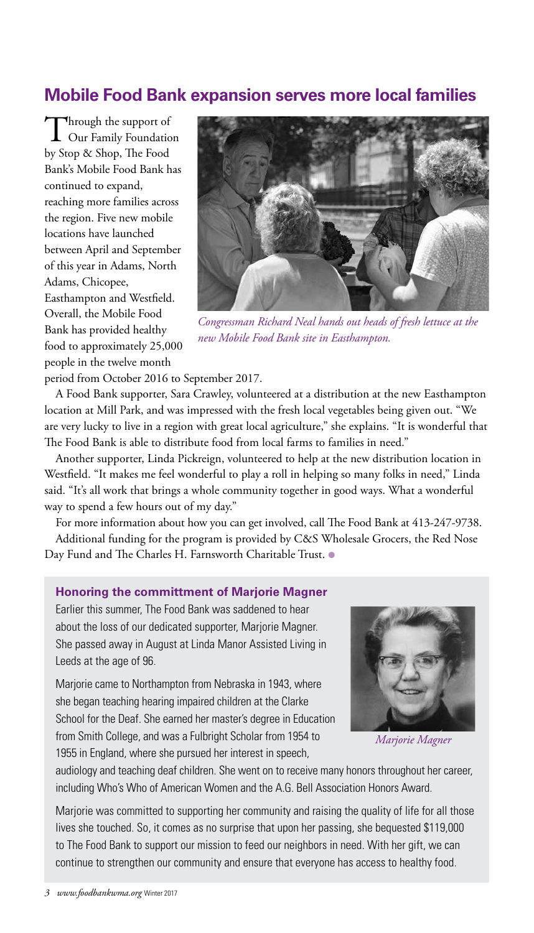# **Mobile Food Bank expansion serves more local families**

Through the support of<br>Our Family Foundation by Stop & Shop, The Food Bank's Mobile Food Bank has continued to expand, reaching more families across the region. Five new mobile locations have launched between April and September of this year in Adams, North Adams, Chicopee, Easthampton and Westfield. Overall, the Mobile Food Bank has provided healthy food to approximately 25,000 people in the twelve month



*Congressman Richard Neal hands out heads of fresh lettuce at the new Mobile Food Bank site in Easthampton.*

period from October 2016 to September 2017.

A Food Bank supporter, Sara Crawley, volunteered at a distribution at the new Easthampton location at Mill Park, and was impressed with the fresh local vegetables being given out. "We are very lucky to live in a region with great local agriculture," she explains. "It is wonderful that The Food Bank is able to distribute food from local farms to families in need."

Another supporter, Linda Pickreign, volunteered to help at the new distribution location in Westfield. "It makes me feel wonderful to play a roll in helping so many folks in need," Linda said. "It's all work that brings a whole community together in good ways. What a wonderful way to spend a few hours out of my day."

For more information about how you can get involved, call The Food Bank at 413-247-9738. Additional funding for the program is provided by C&S Wholesale Grocers, the Red Nose Day Fund and The Charles H. Farnsworth Charitable Trust. ●

#### **Honoring the committment of Marjorie Magner**

Earlier this summer, The Food Bank was saddened to hear about the loss of our dedicated supporter, Marjorie Magner. She passed away in August at Linda Manor Assisted Living in Leeds at the age of 96.

Marjorie came to Northampton from Nebraska in 1943, where she began teaching hearing impaired children at the Clarke School for the Deaf. She earned her master's degree in Education from Smith College, and was a Fulbright Scholar from 1954 to 1955 in England, where she pursued her interest in speech,



*Marjorie Magner*

audiology and teaching deaf children. She went on to receive many honors throughout her career, including Who's Who of American Women and the A.G. Bell Association Honors Award.

Marjorie was committed to supporting her community and raising the quality of life for all those lives she touched. So, it comes as no surprise that upon her passing, she bequested \$119,000 to The Food Bank to support our mission to feed our neighbors in need. With her gift, we can continue to strengthen our community and ensure that everyone has access to healthy food.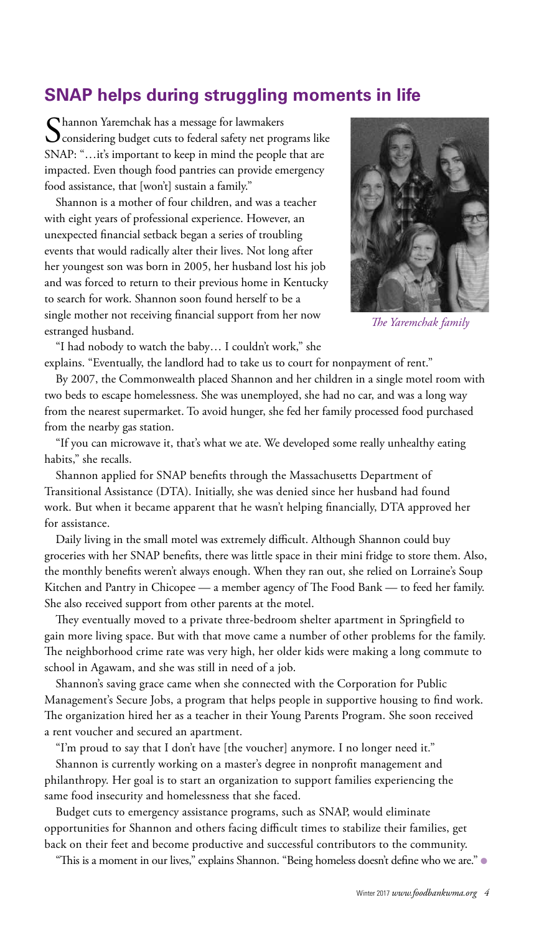# **SNAP helps during struggling moments in life**

Shannon Yaremchak has a message for lawmakers<br>Considering budget cuts to federal safety net programs like SNAP: "…it's important to keep in mind the people that are impacted. Even though food pantries can provide emergency food assistance, that [won't] sustain a family."

Shannon is a mother of four children, and was a teacher with eight years of professional experience. However, an unexpected financial setback began a series of troubling events that would radically alter their lives. Not long after her youngest son was born in 2005, her husband lost his job and was forced to return to their previous home in Kentucky to search for work. Shannon soon found herself to be a single mother not receiving financial support from her now estranged husband.



*The Yaremchak family*

"I had nobody to watch the baby… I couldn't work," she explains. "Eventually, the landlord had to take us to court for nonpayment of rent."

By 2007, the Commonwealth placed Shannon and her children in a single motel room with two beds to escape homelessness. She was unemployed, she had no car, and was a long way from the nearest supermarket. To avoid hunger, she fed her family processed food purchased from the nearby gas station.

"If you can microwave it, that's what we ate. We developed some really unhealthy eating habits," she recalls.

Shannon applied for SNAP benefits through the Massachusetts Department of Transitional Assistance (DTA). Initially, she was denied since her husband had found work. But when it became apparent that he wasn't helping financially, DTA approved her for assistance.

Daily living in the small motel was extremely difficult. Although Shannon could buy groceries with her SNAP benefits, there was little space in their mini fridge to store them. Also, the monthly benefits weren't always enough. When they ran out, she relied on Lorraine's Soup Kitchen and Pantry in Chicopee — a member agency of The Food Bank — to feed her family. She also received support from other parents at the motel.

They eventually moved to a private three-bedroom shelter apartment in Springfield to gain more living space. But with that move came a number of other problems for the family. The neighborhood crime rate was very high, her older kids were making a long commute to school in Agawam, and she was still in need of a job.

Shannon's saving grace came when she connected with the Corporation for Public Management's Secure Jobs, a program that helps people in supportive housing to find work. The organization hired her as a teacher in their Young Parents Program. She soon received a rent voucher and secured an apartment.

"I'm proud to say that I don't have [the voucher] anymore. I no longer need it."

Shannon is currently working on a master's degree in nonprofit management and philanthropy. Her goal is to start an organization to support families experiencing the same food insecurity and homelessness that she faced.

Budget cuts to emergency assistance programs, such as SNAP, would eliminate opportunities for Shannon and others facing difficult times to stabilize their families, get back on their feet and become productive and successful contributors to the community.

"This is a moment in our lives," explains Shannon. "Being homeless doesn't define who we are." ●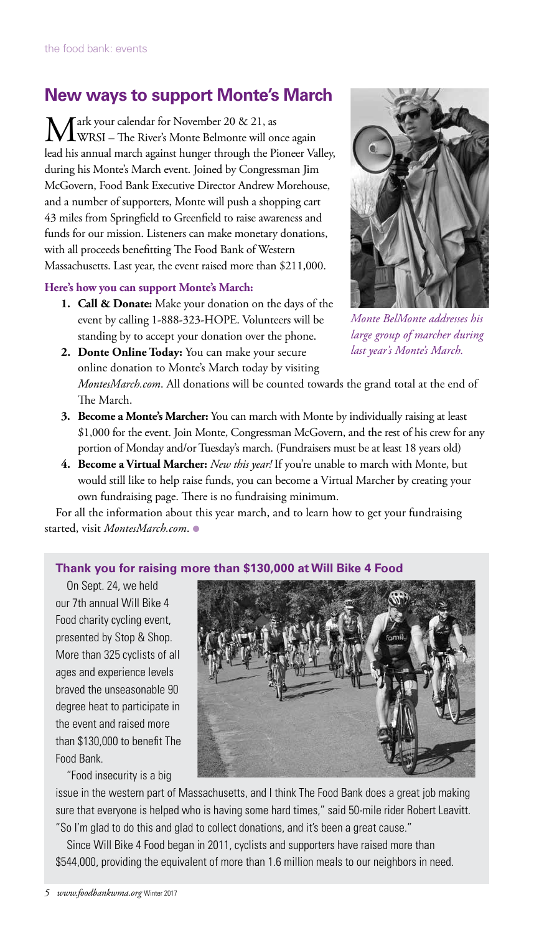# **New ways to support Monte's March**

Tark your calendar for November 20 & 21, as WRSI – The River's Monte Belmonte will once again lead his annual march against hunger through the Pioneer Valley, during his Monte's March event. Joined by Congressman Jim McGovern, Food Bank Executive Director Andrew Morehouse, and a number of supporters, Monte will push a shopping cart 43 miles from Springfield to Greenfield to raise awareness and funds for our mission. Listeners can make monetary donations, with all proceeds benefitting The Food Bank of Western Massachusetts. Last year, the event raised more than \$211,000.

#### **Here's how you can support Monte's March:**

**1. Call & Donate:** Make your donation on the days of the event by calling 1-888-323-HOPE. Volunteers will be standing by to accept your donation over the phone.



*Monte BelMonte addresses his large group of marcher during last year's Monte's March.*

- **2. Donte Online Today:** You can make your secure online donation to Monte's March today by visiting *MontesMarch.com*. All donations will be counted towards the grand total at the end of The March.
- **3. Become a Monte's Marcher:** You can march with Monte by individually raising at least \$1,000 for the event. Join Monte, Congressman McGovern, and the rest of his crew for any portion of Monday and/or Tuesday's march. (Fundraisers must be at least 18 years old)
- **4. Become a Virtual Marcher:** *New this year!* If you're unable to march with Monte, but would still like to help raise funds, you can become a Virtual Marcher by creating your own fundraising page. There is no fundraising minimum.

For all the information about this year march, and to learn how to get your fundraising started, visit *MontesMarch.com*. ●

#### **Thank you for raising more than \$130,000 at Will Bike 4 Food**

On Sept. 24, we held our 7th annual Will Bike 4 Food charity cycling event, presented by Stop & Shop. More than 325 cyclists of all ages and experience levels braved the unseasonable 90 degree heat to participate in the event and raised more than \$130,000 to benefit The Food Bank.

"Food insecurity is a big



issue in the western part of Massachusetts, and I think The Food Bank does a great job making sure that everyone is helped who is having some hard times," said 50-mile rider Robert Leavitt. "So I'm glad to do this and glad to collect donations, and it's been a great cause."

Since Will Bike 4 Food began in 2011, cyclists and supporters have raised more than \$544,000, providing the equivalent of more than 1.6 million meals to our neighbors in need.